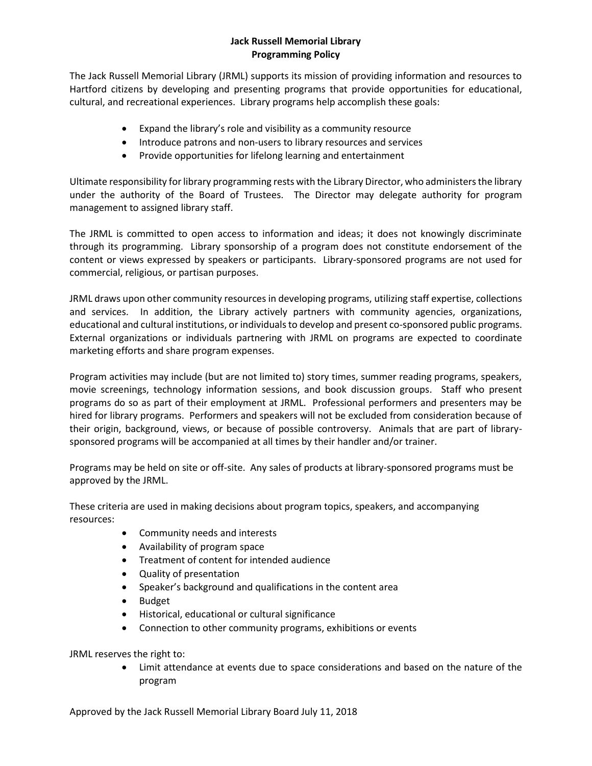## **Jack Russell Memorial Library Programming Policy**

The Jack Russell Memorial Library (JRML) supports its mission of providing information and resources to Hartford citizens by developing and presenting programs that provide opportunities for educational, cultural, and recreational experiences. Library programs help accomplish these goals:

- Expand the library's role and visibility as a community resource
- Introduce patrons and non-users to library resources and services
- Provide opportunities for lifelong learning and entertainment

Ultimate responsibility for library programming rests with the Library Director, who administers the library under the authority of the Board of Trustees. The Director may delegate authority for program management to assigned library staff.

The JRML is committed to open access to information and ideas; it does not knowingly discriminate through its programming. Library sponsorship of a program does not constitute endorsement of the content or views expressed by speakers or participants. Library-sponsored programs are not used for commercial, religious, or partisan purposes.

JRML draws upon other community resources in developing programs, utilizing staff expertise, collections and services. In addition, the Library actively partners with community agencies, organizations, educational and cultural institutions, or individuals to develop and present co-sponsored public programs. External organizations or individuals partnering with JRML on programs are expected to coordinate marketing efforts and share program expenses.

Program activities may include (but are not limited to) story times, summer reading programs, speakers, movie screenings, technology information sessions, and book discussion groups. Staff who present programs do so as part of their employment at JRML. Professional performers and presenters may be hired for library programs. Performers and speakers will not be excluded from consideration because of their origin, background, views, or because of possible controversy. Animals that are part of librarysponsored programs will be accompanied at all times by their handler and/or trainer.

Programs may be held on site or off-site. Any sales of products at library-sponsored programs must be approved by the JRML.

These criteria are used in making decisions about program topics, speakers, and accompanying resources:

- Community needs and interests
- Availability of program space
- Treatment of content for intended audience
- Quality of presentation
- Speaker's background and qualifications in the content area
- Budget
- Historical, educational or cultural significance
- Connection to other community programs, exhibitions or events

JRML reserves the right to:

 Limit attendance at events due to space considerations and based on the nature of the program

Approved by the Jack Russell Memorial Library Board July 11, 2018